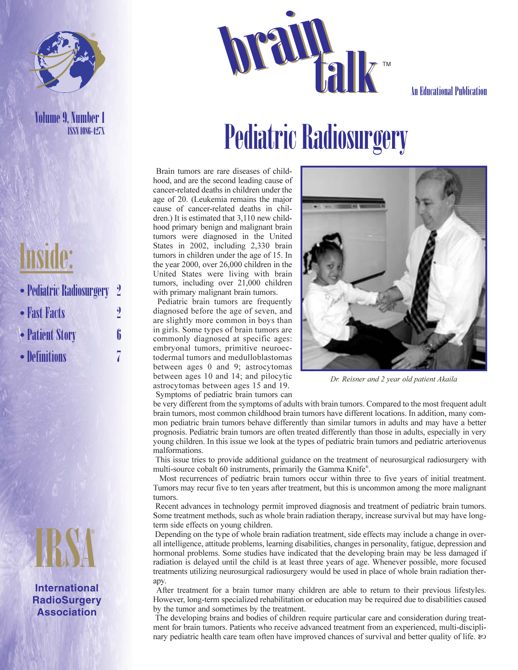

ISSN 1086-427X

# **brain Talk The Mucational Publication**

# Volume 9, Number 1<br>**Pediatric Radiosurgery**

Brain tumors are rare diseases of childhood, and are the second leading cause of cancer-related deaths in children under the age of 20. (Leukemia remains the major cause of cancer-related deaths in children.) It is estimated that 3,110 new childhood primary benign and malignant brain tumors were diagnosed in the United States in 2002, including 2,330 brain tumors in children under the age of 15. In the year 2000, over 26,000 children in the United States were living with brain tumors, including over 21,000 children with primary malignant brain tumors.

Pediatric brain tumors are frequently diagnosed before the age of seven, and are slightly more common in boys than in girls. Some types of brain tumors are commonly diagnosed at specific ages: embryonal tumors, primitive neuroectodermal tumors and medulloblastomas between ages 0 and 9; astrocytomas between ages 10 and 14; and pilocytic astrocytomas between ages 15 and 19. Symptoms of pediatric brain tumors can



Dr. Reisner and 2 year old patient Akaila

be very different from the symptoms of adults with brain tumors. Compared to the most frequent adult brain tumors, most common childhood brain tumors have different locations. In addition, many common pediatric brain tumors behave differently than similar tumors in adults and may have a better prognosis. Pediatric brain tumors are often treated differently than those in adults, especially in very young children. In this issue we look at the types of pediatric brain tumors and pediatric arteriovenus malformations.

This issue tries to provide additional guidance on the treatment of neurosurgical radiosurgery with multi-source cobalt 60 instruments, primarily the Gamma Knife® .

Most recurrences of pediatric brain tumors occur within three to five years of initial treatment. Tumors may recur five to ten years after treatment, but this is uncommon among the more malignant tumors.

Recent advances in technology permit improved diagnosis and treatment of pediatric brain tumors. Some treatment methods, such as whole brain radiation therapy, increase survival but may have longterm side effects on young children.

Depending on the type of whole brain radiation treatment, side effects may include a change in overall intelligence, attitude problems, learning disabilities, changes in personality, fatigue, depression and hormonal problems. Some studies have indicated that the developing brain may be less damaged if radiation is delayed until the child is at least three years of age. Whenever possible, more focused treatments utilizing neurosurgical radiosurgery would be used in place of whole brain radiation therapy.

After treatment for a brain tumor many children are able to return to their previous lifestyles. However, long-term specialized rehabilitation or education may be required due to disabilities caused by the tumor and sometimes by the treatment.

The developing brains and bodies of children require particular care and consideration during treatment for brain tumors. Patients who receive advanced treatment from an experienced, multi-disciplinary pediatric health care team often have improved chances of survival and better quality of life.  $\infty$ 

### Inside:

- Pediatric Radiosurgery 2
- Fast Facts 2
- Patient Story 6
- Definitions



**International RadioSurgery Association**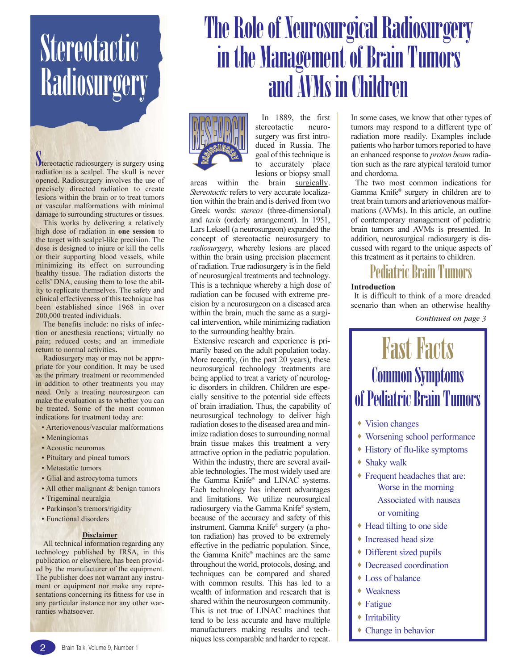## **Stereotactic Radiosurgery**

**N**tereotactic radiosurgery is surgery using radiation as a scalpel. The skull is never opened. Radiosurgery involves the use of precisely directed radiation to create lesions within the brain or to treat tumors or vascular malformations with minimal damage to surrounding structures or tissues.

This works by delivering a relatively high dose of radiation in one session to the target with scalpel-like precision. The dose is designed to injure or kill the cells or their supporting blood vessels, while minimizing its effect on surrounding healthy tissue. The radiation distorts the cells' DNA, causing them to lose the ability to replicate themselves. The safety and clinical effectiveness of this technique has been established since 1968 in over 200,000 treated individuals.

The benefits include: no risks of infection or anesthesia reactions; virtually no pain; reduced costs; and an immediate return to normal activities.

Radiosurgery may or may not be appropriate for your condition. It may be used as the primary treatment or recommended in addition to other treatments you may need. Only a treating neurosurgeon can make the evaluation as to whether you can be treated. Some of the most common indications for treatment today are:

- Arteriovenous/vascular malformations
- Meningiomas
- Acoustic neuromas
- Pituitary and pineal tumors
- Metastatic tumors
- Glial and astrocytoma tumors
- All other malignant & benign tumors
- Trigeminal neuralgia
- Parkinson's tremors/rigidity
- Functional disorders

#### **Disclaimer**

All technical information regarding any technology published by IRSA, in this publication or elsewhere, has been provided by the manufacturer of the equipment. The publisher does not warrant any instrument or equipment nor make any representations concerning its fitness for use in any particular instance nor any other warranties whatsoever.

### The Role of Neurosurgical Radiosurgery in the Management of Brain Tumors and AVMs in Children



In 1889, the first stereotactic neurosurgery was first introduced in Russia. The goal of this technique is to accurately place lesions or biopsy small

areas within the brain surgically. Stereotactic refers to very accurate localization within the brain and is derived from two Greek words: stereos (three-dimensional) and taxis (orderly arrangement). In 1951, Lars Leksell (a neurosurgeon) expanded the concept of stereotactic neurosurgery to radiosurgery, whereby lesions are placed within the brain using precision placement of radiation. True radiosurgery is in the field of neurosurgical treatments and technology. This is a technique whereby a high dose of radiation can be focused with extreme precision by a neurosurgeon on a diseased area within the brain, much the same as a surgical intervention, while minimizing radiation to the surrounding healthy brain.

Extensive research and experience is primarily based on the adult population today. More recently, (in the past 20 years), these neurosurgical technology treatments are being applied to treat a variety of neurologic disorders in children. Children are especially sensitive to the potential side effects of brain irradiation. Thus, the capability of neurosurgical technology to deliver high radiation doses to the diseased area and minimize radiation doses to surrounding normal brain tissue makes this treatment a very attractive option in the pediatric population. Within the industry, there are several available technologies. The most widely used are the Gamma Knife® and LINAC systems. Each technology has inherent advantages and limitations. We utilize neurosurgical radiosurgery via the Gamma Knife® system, because of the accuracy and safety of this instrument. Gamma Knife® surgery (a photon radiation) has proved to be extremely effective in the pediatric population. Since, the Gamma Knife® machines are the same throughout the world, protocols, dosing, and techniques can be compared and shared with common results. This has led to a wealth of information and research that is shared within the neurosurgeon community. This is not true of LINAC machines that tend to be less accurate and have multiple manufacturers making results and techniques less comparable and harder to repeat.

In some cases, we know that other types of tumors may respond to a different type of radiation more readily. Examples include patients who harbor tumors reported to have an enhanced response to proton beam radiation such as the rare atypical teratoid tumor and chordoma.

The two most common indications for Gamma Knife® surgery in children are to treat brain tumors and arteriovenous malformations (AVMs). In this article, an outline of contemporary management of pediatric brain tumors and AVMs is presented. In addition, neurosurgical radiosurgery is discussed with regard to the unique aspects of this treatment as it pertains to children.

### Pediatric Brain Tumors

#### **Introduction**

It is difficult to think of a more dreaded scenario than when an otherwise healthy

*Continued on page 3*

### **Fast Facts** Common Symptoms of Pediatric Brain Tumors

- Vision changes
- Worsening school performance
- History of flu-like symptoms
- Shaky walk
- Frequent headaches that are: Worse in the morning Associated with nausea or vomiting
- Head tilting to one side
- ◆ Increased head size
- Different sized pupils
- Decreased coordination
- Loss of balance
- Weakness
- Fatigue
- Irritability
- Change in behavior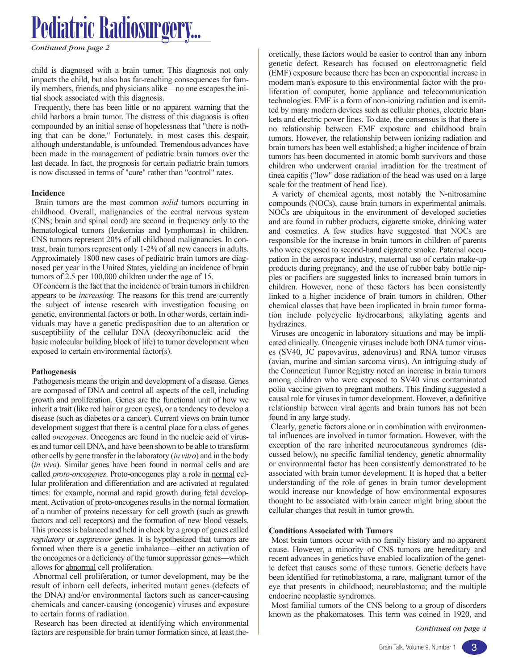child is diagnosed with a brain tumor. This diagnosis not only impacts the child, but also has far-reaching consequences for family members, friends, and physicians alike—no one escapes the initial shock associated with this diagnosis.

Frequently, there has been little or no apparent warning that the child harbors a brain tumor. The distress of this diagnosis is often compounded by an initial sense of hopelessness that "there is nothing that can be done." Fortunately, in most cases this despair, although understandable, is unfounded. Tremendous advances have been made in the management of pediatric brain tumors over the last decade. In fact, the prognosis for certain pediatric brain tumors is now discussed in terms of "cure" rather than "control" rates.

#### Incidence

Brain tumors are the most common *solid* tumors occurring in childhood. Overall, malignancies of the central nervous system (CNS; brain and spinal cord) are second in frequency only to the hematological tumors (leukemias and lymphomas) in children. CNS tumors represent 20% of all childhood malignancies. In contrast, brain tumors represent only 1-2% of all new cancers in adults. Approximately 1800 new cases of pediatric brain tumors are diagnosed per year in the United States, yielding an incidence of brain tumors of 2.5 per 100,000 children under the age of 15.

Of concern is the fact that the incidence of brain tumors in children appears to be increasing. The reasons for this trend are currently the subject of intense research with investigation focusing on genetic, environmental factors or both. In other words, certain individuals may have a genetic predisposition due to an alteration or susceptibility of the cellular DNA (deoxyribonucleic acid—the basic molecular building block of life) to tumor development when exposed to certain environmental factor(s).

### Pathogenesis

Pathogenesis means the origin and development of a disease. Genes are composed of DNA and control all aspects of the cell, including growth and proliferation. Genes are the functional unit of how we inherit a trait (like red hair or green eyes), or a tendency to develop a disease (such as diabetes or a cancer). Current views on brain tumor development suggest that there is a central place for a class of genes called oncogenes. Oncogenes are found in the nucleic acid of viruses and tumor cell DNA, and have been shown to be able to transform other cells by gene transfer in the laboratory (in vitro) and in the body (in vivo). Similar genes have been found in normal cells and are called proto-oncogenes. Proto-oncogenes play a role in normal cellular proliferation and differentiation and are activated at regulated times: for example, normal and rapid growth during fetal development. Activation of proto-oncogenes results in the normal formation of a number of proteins necessary for cell growth (such as growth factors and cell receptors) and the formation of new blood vessels. This process is balanced and held in check by a group of genes called regulatory or suppressor genes. It is hypothesized that tumors are formed when there is a genetic imbalance—either an activation of the oncogenes or a deficiency of the tumor suppressor genes—which allows for abnormal cell proliferation.

Abnormal cell proliferation, or tumor development, may be the result of inborn cell defects, inherited mutant genes (defects of the DNA) and/or environmental factors such as cancer-causing chemicals and cancer-causing (oncogenic) viruses and exposure to certain forms of radiation.

Research has been directed at identifying which environmental factors are responsible for brain tumor formation since, at least the- *Continued on page 4*

oretically, these factors would be easier to control than any inborn genetic defect. Research has focused on electromagnetic field (EMF) exposure because there has been an exponential increase in modern man's exposure to this environmental factor with the proliferation of computer, home appliance and telecommunication technologies. EMF is a form of non-ionizing radiation and is emitted by many modern devices such as cellular phones, electric blankets and electric power lines. To date, the consensus is that there is no relationship between EMF exposure and childhood brain tumors. However, the relationship between ionizing radiation and brain tumors has been well established; a higher incidence of brain tumors has been documented in atomic bomb survivors and those children who underwent cranial irradiation for the treatment of tinea capitis ("low" dose radiation of the head was used on a large scale for the treatment of head lice).

A variety of chemical agents, most notably the N-nitrosamine compounds (NOCs), cause brain tumors in experimental animals. NOCs are ubiquitous in the environment of developed societies and are found in rubber products, cigarette smoke, drinking water and cosmetics. A few studies have suggested that NOCs are responsible for the increase in brain tumors in children of parents who were exposed to second-hand cigarette smoke. Paternal occupation in the aerospace industry, maternal use of certain make-up products during pregnancy, and the use of rubber baby bottle nipples or pacifiers are suggested links to increased brain tumors in children. However, none of these factors has been consistently linked to a higher incidence of brain tumors in children. Other chemical classes that have been implicated in brain tumor formation include polycyclic hydrocarbons, alkylating agents and hydrazines.

Viruses are oncogenic in laboratory situations and may be implicated clinically. Oncogenic viruses include both DNA tumor viruses (SV40, JC papovavirus, adenovirus) and RNA tumor viruses (avian, murine and simian sarcoma virus). An intriguing study of the Connecticut Tumor Registry noted an increase in brain tumors among children who were exposed to SV40 virus contaminated polio vaccine given to pregnant mothers. This finding suggested a causal role for viruses in tumor development. However, a definitive relationship between viral agents and brain tumors has not been found in any large study.

Clearly, genetic factors alone or in combination with environmental influences are involved in tumor formation. However, with the exception of the rare inherited neurocutaneous syndromes (discussed below), no specific familial tendency, genetic abnormality or environmental factor has been consistently demonstrated to be associated with brain tumor development. It is hoped that a better understanding of the role of genes in brain tumor development would increase our knowledge of how environmental exposures thought to be associated with brain cancer might bring about the cellular changes that result in tumor growth.

#### Conditions Associated with Tumors

Most brain tumors occur with no family history and no apparent cause. However, a minority of CNS tumors are hereditary and recent advances in genetics have enabled localization of the genetic defect that causes some of these tumors. Genetic defects have been identified for retinoblastoma, a rare, malignant tumor of the eye that presents in childhood; neuroblastoma; and the multiple endocrine neoplastic syndromes.

Most familial tumors of the CNS belong to a group of disorders known as the phakomatoses. This term was coined in 1920, and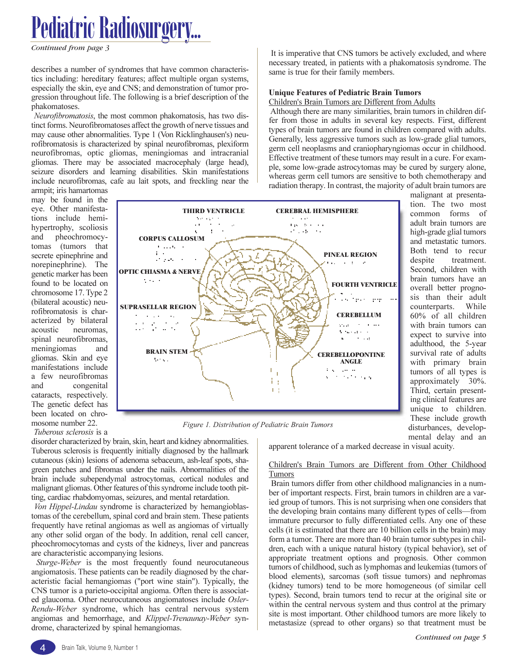*Continued from page 3*

describes a number of syndromes that have common characteristics including: hereditary features; affect multiple organ systems, especially the skin, eye and CNS; and demonstration of tumor progression throughout life. The following is a brief description of the phakomatoses.

Neurofibromatosis, the most common phakomatosis, has two distinct forms. Neurofibromatoses affect the growth of nerve tissues and may cause other abnormalities. Type 1 (Von Ricklinghausen's) neurofibromatosis is characterized by spinal neurofibromas, plexiform neurofibromas, optic gliomas, meningiomas and intracranial gliomas. There may be associated macrocephaly (large head), seizure disorders and learning disabilities. Skin manifestations include neurofibromas, cafe au lait spots, and freckling near the

armpit; iris hamartomas may be found in the eye. Other manifestations include hemihypertrophy, scoliosis and pheochromocytomas (tumors that secrete epinephrine and norepinephrine). The genetic marker has been found to be located on chromosome 17. Type 2 (bilateral acoustic) neurofibromatosis is characterized by bilateral acoustic neuromas, spinal neurofibromas, meningiomas and gliomas. Skin and eye manifestations include a few neurofibromas and congenital cataracts, respectively. The genetic defect has been located on chromosome number 22.

Tuberous sclerosis is a

Effective treatment of these tumors may result in a cure. For example, some low-grade astrocytomas may be cured by surgery alone, whereas germ cell tumors are sensitive to both chemotherapy and radiation therapy. In contrast, the majority of adult brain tumors are malignant at presentation. The two most THIRD VENTRICLE CEREBRAL HEMISPHERE common forms of  $\cdots$ adult brain tumors are the contract  $\cdot$   $\cdot$ Albany Ale c.  $\blacksquare$ high-grade glial tumors and metastatic tumors. Both tend to recur  $\mathbf{1}$ . PINEAL REGION  $\sim 10$  $\ddot{\phantom{a}}$ despite treatment. h **Service** State Second, children with brain tumors have an FOURTH VENTRICLE overall better prognosis than their adult<br>counterparts. While es teles en counterparts. 60% of all children

Figure 1. Distribution of Pediatric Brain Tumors

disorder characterized by brain, skin, heart and kidney abnormalities. Tuberous sclerosis is frequently initially diagnosed by the hallmark cutaneous (skin) lesions of adenoma sebaceum, ash-leaf spots, shagreen patches and fibromas under the nails. Abnormalities of the brain include subependymal astrocytomas, cortical nodules and malignant gliomas. Other features of this syndrome include tooth pitting, cardiac rhabdomyomas, seizures, and mental retardation.

Von Hippel-Lindau syndrome is characterized by hemangioblastomas of the cerebellum, spinal cord and brain stem. These patients frequently have retinal angiomas as well as angiomas of virtually any other solid organ of the body. In addition, renal cell cancer, pheochromocytomas and cysts of the kidneys, liver and pancreas are characteristic accompanying lesions.

Sturge-Weber is the most frequently found neurocutaneous angiomatosis. These patients can be readily diagnosed by the characteristic facial hemangiomas ("port wine stain"). Typically, the CNS tumor is a parieto-occipital angioma. Often there is associated glaucoma. Other neurocutaneous angiomatoses include Osler-Rendu-Weber syndrome, which has central nervous system angiomas and hemorrhage, and Klippel-Trenaunay-Weber syndrome, characterized by spinal hemangiomas.

apparent tolerance of a marked decrease in visual acuity.

### Children's Brain Tumors are Different from Other Childhood **Tumors**

It is imperative that CNS tumors be actively excluded, and where necessary treated, in patients with a phakomatosis syndrome. The

Although there are many similarities, brain tumors in children differ from those in adults in several key respects. First, different types of brain tumors are found in children compared with adults. Generally, less aggressive tumors such as low-grade glial tumors, germ cell neoplasms and craniopharyngiomas occur in childhood.

same is true for their family members.

Unique Features of Pediatric Brain Tumors Children's Brain Tumors are Different from Adults

Brain tumors differ from other childhood malignancies in a number of important respects. First, brain tumors in children are a varied group of tumors. This is not surprising when one considers that the developing brain contains many different types of cells—from immature precursor to fully differentiated cells. Any one of these cells (it is estimated that there are 10 billion cells in the brain) may form a tumor. There are more than 40 brain tumor subtypes in children, each with a unique natural history (typical behavior), set of appropriate treatment options and prognosis. Other common tumors of childhood, such as lymphomas and leukemias (tumors of blood elements), sarcomas (soft tissue tumors) and nephromas (kidney tumors) tend to be more homogeneous (of similar cell types). Second, brain tumors tend to recur at the original site or within the central nervous system and thus control at the primary site is most important. Other childhood tumors are more likely to metastasize (spread to other organs) so that treatment must be

with brain tumors can expect to survive into adulthood, the 5-year survival rate of adults with primary brain tumors of all types is approximately 30%. Third, certain presenting clinical features are unique to children. These include growth disturbances, developmental delay and an



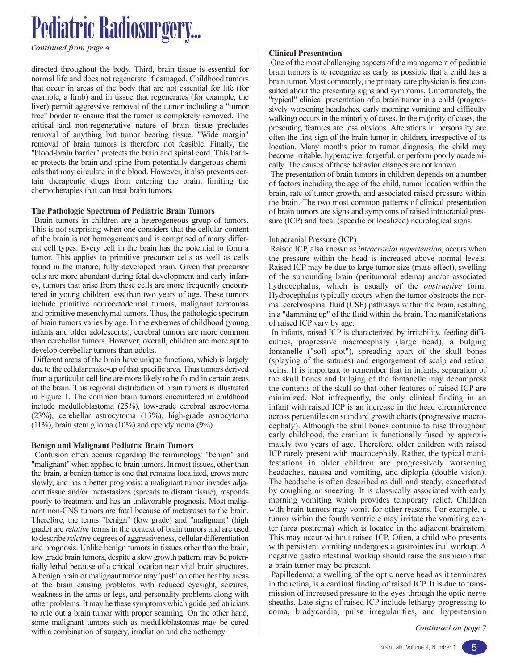*Continued from page 4* Clinical Presentation

directed throughout the body. Third, brain tissue is essential for normal life and does not regenerate if damaged. Childhood tumors that occur in areas of the body that are not essential for life (for example, a limb) and in tissue that regenerates (for example, the liver) permit aggressive removal of the tumor including a "tumor free" border to ensure that the tumor is completely removed. The critical and non-regenerative nature of brain tissue precludes removal of anything but tumor bearing tissue. "Wide margin" removal of brain tumors is therefore not feasible. Finally, the "blood-brain barrier" protects the brain and spinal cord. This barrier protects the brain and spine from potentially dangerous chemicals that may circulate in the blood. However, it also prevents certain therapeutic drugs from entering the brain, limiting the chemotherapies that can treat brain tumors.

#### The Pathologic Spectrum of Pediatric Brain Tumors

Brain tumors in children are a heterogeneous group of tumors. This is not surprising when one considers that the cellular content of the brain is not homogeneous and is comprised of many different cell types. Every cell in the brain has the potential to form a tumor. This applies to primitive precursor cells as well as cells found in the mature, fully developed brain. Given that precursor cells are more abundant during fetal development and early infancy, tumors that arise from these cells are more frequently encountered in young children less than two years of age. These tumors include primitive neuroectodermal tumors, malignant teratomas and primitive mesenchymal tumors. Thus, the pathologic spectrum of brain tumors varies by age. In the extremes of childhood (young infants and older adolescents), cerebral tumors are more common than cerebellar tumors. However, overall, children are more apt to develop cerebellar tumors than adults.

Different areas of the brain have unique functions, which is largely due to the cellular make-up of that specific area. Thus tumors derived from a particular cell line are more likely to be found in certain areas of the brain. This regional distribution of brain tumors is illustrated in Figure 1. The common brain tumors encountered in childhood include medulloblastoma (25%), low-grade cerebral astrocytoma (23%), cerebellar astrocytoma (13%), high-grade astrocytoma (11%), brain stem glioma (10%) and ependymoma (9%).

### Benign and Malignant Pediatric Brain Tumors

Confusion often occurs regarding the terminology "benign" and "malignant" when applied to brain tumors. In most tissues, other than the brain, a benign tumor is one that remains localized, grows more slowly, and has a better prognosis; a malignant tumor invades adjacent tissue and/or metastasizes (spreads to distant tissue), responds poorly to treatment and has an unfavorable prognosis. Most malignant non-CNS tumors are fatal because of metastases to the brain. Therefore, the terms "benign" (low grade) and "malignant" (high grade) are relative terms in the context of brain tumors and are used to describe relative degrees of aggressiveness, cellular differentiation and prognosis. Unlike benign tumors in tissues other than the brain, low grade brain tumors, despite a slow growth pattern, may be potentially lethal because of a critical location near vital brain structures. A benign brain or malignant tumor may 'push' on other healthy areas of the brain causing problems with reduced eyesight, seizures, weakness in the arms or legs, and personality problems along with other problems. It may be these symptoms which guide pediatricians to rule out a brain tumor with proper scanning. On the other hand, some malignant tumors such as medulloblastomas may be cured with a combination of surgery, irradiation and chemotherapy.

One of the most challenging aspects of the management of pediatric brain tumors is to recognize as early as possible that a child has a brain tumor. Most commonly, the primary care physician is first consulted about the presenting signs and symptoms. Unfortunately, the "typical" clinical presentation of a brain tumor in a child (progressively worsening headaches, early morning vomiting and difficulty walking) occurs in the minority of cases. In the majority of cases, the presenting features are less obvious. Alterations in personality are often the first sign of the brain tumor in children, irrespective of its location. Many months prior to tumor diagnosis, the child may become irritable, hyperactive, forgetful, or perform poorly academically. The causes of these behavior changes are not known.

The presentation of brain tumors in children depends on a number of factors including the age of the child, tumor location within the brain, rate of tumor growth, and associated raised pressure within the brain. The two most common patterns of clinical presentation of brain tumors are signs and symptoms of raised intracranial pressure (ICP) and focal (specific or localized) neurological signs.

### Intracranial Pressure (ICP)

Raised ICP, also known as intracranial hypertension, occurs when the pressure within the head is increased above normal levels. Raised ICP may be due to large tumor size (mass effect), swelling of the surrounding brain (peritumoral edema) and/or associated hydrocephalus, which is usually of the *obstructive* form. Hydrocephalus typically occurs when the tumor obstructs the normal cerebrospinal fluid (CSF) pathways within the brain, resulting in a "damming up" of the fluid within the brain. The manifestations of raised ICP vary by age.

In infants, raised ICP is characterized by irritability, feeding difficulties, progressive macrocephaly (large head), a bulging fontanelle ("soft spot"), spreading apart of the skull bones (splaying of the sutures) and engorgement of scalp and retinal veins. It is important to remember that in infants, separation of the skull bones and bulging of the fontanelle may decompress the contents of the skull so that other features of raised ICP are minimized. Not infrequently, the only clinical finding in an infant with raised ICP is an increase in the head circumference across percentiles on standard growth charts (progressive macrocephaly). Although the skull bones continue to fuse throughout early childhood, the cranium is functionally fused by approximately two years of age. Therefore, older children with raised ICP rarely present with macrocephaly. Rather, the typical manifestations in older children are progressively worsening headaches, nausea and vomiting, and diplopia (double vision). The headache is often described as dull and steady, exacerbated by coughing or sneezing. It is classically associated with early morning vomiting which provides temporary relief. Children with brain tumors may vomit for other reasons. For example, a tumor within the fourth ventricle may irritate the vomiting center (area postrema) which is located in the adjacent brainstem. This may occur without raised ICP. Often, a child who presents with persistent vomiting undergoes a gastrointestinal workup. A negative gastrointestinal workup should raise the suspicion that a brain tumor may be present.

Papilledema, a swelling of the optic nerve head as it terminates in the retina, is a cardinal finding of raised ICP. It is due to transmission of increased pressure to the eyes through the optic nerve sheaths. Late signs of raised ICP include lethargy progressing to coma, bradycardia, pulse irregularities, and hypertension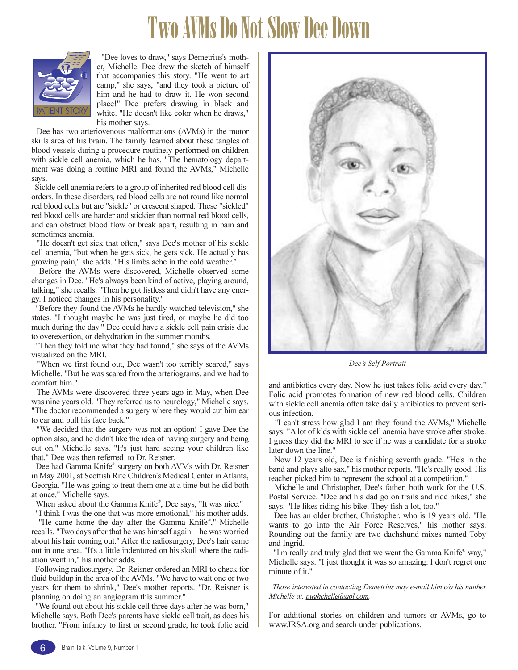### Two AVMs Do Not Slow Dee Down



"Dee loves to draw," says Demetrius's mother, Michelle. Dee drew the sketch of himself that accompanies this story. "He went to art camp," she says, "and they took a picture of him and he had to draw it. He won second place!" Dee prefers drawing in black and white. "He doesn't like color when he draws," his mother says.

Dee has two arteriovenous malformations (AVMs) in the motor skills area of his brain. The family learned about these tangles of blood vessels during a procedure routinely performed on children with sickle cell anemia, which he has. "The hematology department was doing a routine MRI and found the AVMs," Michelle says.

Sickle cell anemia refers to a group of inherited red blood cell disorders. In these disorders, red blood cells are not round like normal red blood cells but are "sickle" or crescent shaped. These "sickled" red blood cells are harder and stickier than normal red blood cells, and can obstruct blood flow or break apart, resulting in pain and sometimes anemia.

"He doesn't get sick that often," says Dee's mother of his sickle cell anemia, "but when he gets sick, he gets sick. He actually has growing pain," she adds. "His limbs ache in the cold weather."

Before the AVMs were discovered, Michelle observed some changes in Dee. "He's always been kind of active, playing around, talking," she recalls. "Then he got listless and didn't have any energy. I noticed changes in his personality."

"Before they found the AVMs he hardly watched television," she states. "I thought maybe he was just tired, or maybe he did too much during the day." Dee could have a sickle cell pain crisis due to overexertion, or dehydration in the summer months.

"Then they told me what they had found," she says of the AVMs visualized on the MRI.

"When we first found out, Dee wasn't too terribly scared," says Michelle. "But he was scared from the arteriograms, and we had to comfort him."

The AVMs were discovered three years ago in May, when Dee was nine years old. "They referred us to neurology," Michelle says. "The doctor recommended a surgery where they would cut him ear to ear and pull his face back."

"We decided that the surgery was not an option! I gave Dee the option also, and he didn't like the idea of having surgery and being cut on," Michelle says. "It's just hard seeing your children like that." Dee was then referred to Dr. Reisner.

Dee had Gamma Knife® surgery on both AVMs with Dr. Reisner in May 2001, at Scottish Rite Children's Medical Center in Atlanta, Georgia. "He was going to treat them one at a time but he did both at once," Michelle says.

When asked about the Gamma Knife® , Dee says, "It was nice."

"I think I was the one that was more emotional," his mother adds.

"He came home the day after the Gamma Knife®," Michelle recalls. "Two days after that he was himself again—he was worried about his hair coming out." After the radiosurgery, Dee's hair came out in one area. "It's a little indentured on his skull where the radiation went in," his mother adds.

Following radiosurgery, Dr. Reisner ordered an MRI to check for fluid buildup in the area of the AVMs. "We have to wait one or two years for them to shrink," Dee's mother reports. "Dr. Reisner is planning on doing an angiogram this summer."

"We found out about his sickle cell three days after he was born," Michelle says. Both Dee's parents have sickle cell trait, as does his brother. "From infancy to first or second grade, he took folic acid



Dee's Self Portrait

and antibiotics every day. Now he just takes folic acid every day." Folic acid promotes formation of new red blood cells. Children with sickle cell anemia often take daily antibiotics to prevent serious infection.

"I can't stress how glad I am they found the AVMs," Michelle says. "A lot of kids with sickle cell anemia have stroke after stroke. I guess they did the MRI to see if he was a candidate for a stroke later down the line."

Now 12 years old, Dee is finishing seventh grade. "He's in the band and plays alto sax," his mother reports. "He's really good. His teacher picked him to represent the school at a competition."

Michelle and Christopher, Dee's father, both work for the U.S. Postal Service. "Dee and his dad go on trails and ride bikes," she says. "He likes riding his bike. They fish a lot, too."

Dee has an older brother, Christopher, who is 19 years old. "He wants to go into the Air Force Reserves," his mother says. Rounding out the family are two dachshund mixes named Toby and Ingrid.

"I'm really and truly glad that we went the Gamma Knife® way," Michelle says. "I just thought it was so amazing. I don't regret one minute of it."

Those interested in contacting Demetrius may e-mail him c/o his mother Michelle at, pughchelle@aol.com.

For additional stories on children and tumors or AVMs, go to www.IRSA.org and search under publications.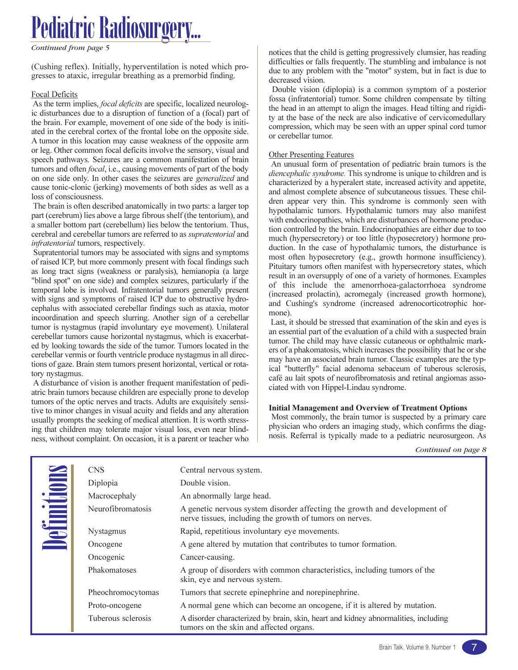*Continued from page 5*

(Cushing reflex). Initially, hyperventilation is noted which progresses to ataxic, irregular breathing as a premorbid finding.

### Focal Deficits

As the term implies, *focal deficits* are specific, localized neurologic disturbances due to a disruption of function of a (focal) part of the brain. For example, movement of one side of the body is initiated in the cerebral cortex of the frontal lobe on the opposite side. A tumor in this location may cause weakness of the opposite arm or leg. Other common focal deficits involve the sensory, visual and speech pathways. Seizures are a common manifestation of brain tumors and often *focal*, i.e., causing movements of part of the body on one side only. In other cases the seizures are generalized and cause tonic-clonic (jerking) movements of both sides as well as a loss of consciousness.

The brain is often described anatomically in two parts: a larger top part (cerebrum) lies above a large fibrous shelf (the tentorium), and a smaller bottom part (cerebellum) lies below the tentorium. Thus, cerebral and cerebellar tumors are referred to as supratentorial and infratentorial tumors, respectively.

Supratentorial tumors may be associated with signs and symptoms of raised ICP, but more commonly present with focal findings such as long tract signs (weakness or paralysis), hemianopia (a large "blind spot" on one side) and complex seizures, particularly if the temporal lobe is involved. Infratentorial tumors generally present with signs and symptoms of raised ICP due to obstructive hydrocephalus with associated cerebellar findings such as ataxia, motor incoordination and speech slurring. Another sign of a cerebellar tumor is nystagmus (rapid involuntary eye movement). Unilateral cerebellar tumors cause horizontal nystagmus, which is exacerbated by looking towards the side of the tumor. Tumors located in the cerebellar vermis or fourth ventricle produce nystagmus in all directions of gaze. Brain stem tumors present horizontal, vertical or rotatory nystagmus.

A disturbance of vision is another frequent manifestation of pediatric brain tumors because children are especially prone to develop tumors of the optic nerves and tracts. Adults are exquisitely sensitive to minor changes in visual acuity and fields and any alteration usually prompts the seeking of medical attention. It is worth stressing that children may tolerate major visual loss, even near blindness, without complaint. On occasion, it is a parent or teacher who notices that the child is getting progressively clumsier, has reading difficulties or falls frequently. The stumbling and imbalance is not due to any problem with the "motor" system, but in fact is due to decreased vision.

Double vision (diplopia) is a common symptom of a posterior fossa (infratentorial) tumor. Some children compensate by tilting the head in an attempt to align the images. Head tilting and rigidity at the base of the neck are also indicative of cervicomedullary compression, which may be seen with an upper spinal cord tumor or cerebellar tumor.

### Other Presenting Features

An unusual form of presentation of pediatric brain tumors is the diencephalic syndrome. This syndrome is unique to children and is characterized by a hyperalert state, increased activity and appetite, and almost complete absence of subcutaneous tissues. These children appear very thin. This syndrome is commonly seen with hypothalamic tumors. Hypothalamic tumors may also manifest with endocrinopathies, which are disturbances of hormone production controlled by the brain. Endocrinopathies are either due to too much (hypersecretory) or too little (hyposecretory) hormone production. In the case of hypothalamic tumors, the disturbance is most often hyposecretory (e.g., growth hormone insufficiency). Pituitary tumors often manifest with hypersecretory states, which result in an oversupply of one of a variety of hormones. Examples of this include the amenorrhoea-galactorrhoea syndrome (increased prolactin), acromegaly (increased growth hormone), and Cushing's syndrome (increased adrenocorticotrophic hormone).

Last, it should be stressed that examination of the skin and eyes is an essential part of the evaluation of a child with a suspected brain tumor. The child may have classic cutaneous or ophthalmic markers of a phakomatosis, which increases the possibility that he or she may have an associated brain tumor. Classic examples are the typical "butterfly" facial adenoma sebaceum of tuberous sclerosis, café au lait spots of neurofibromatosis and retinal angiomas associated with von Hippel-Lindau syndrome.

### Initial Management and Overview of Treatment Options

Most commonly, the brain tumor is suspected by a primary care physician who orders an imaging study, which confirms the diagnosis. Referral is typically made to a pediatric neurosurgeon. As

| <b>CNS</b>               | Central nervous system.                                                                                                               |
|--------------------------|---------------------------------------------------------------------------------------------------------------------------------------|
| Diplopia                 | Double vision.                                                                                                                        |
| Macrocephaly             | An abnormally large head.                                                                                                             |
| <b>Neurofibromatosis</b> | A genetic nervous system disorder affecting the growth and development of<br>nerve tissues, including the growth of tumors on nerves. |
| Nystagmus                | Rapid, repetitious involuntary eye movements.                                                                                         |
| Oncogene                 | A gene altered by mutation that contributes to tumor formation.                                                                       |
| Oncogenic                | Cancer-causing.                                                                                                                       |
| Phakomatoses             | A group of disorders with common characteristics, including tumors of the<br>skin, eye and nervous system.                            |
| Pheochromocytomas        | Tumors that secrete epinephrine and norepinephrine.                                                                                   |
| Proto-oncogene           | A normal gene which can become an oncogene, if it is altered by mutation.                                                             |
| Tuberous sclerosis       | A disorder characterized by brain, skin, heart and kidney abnormalities, including<br>tumors on the skin and affected organs.         |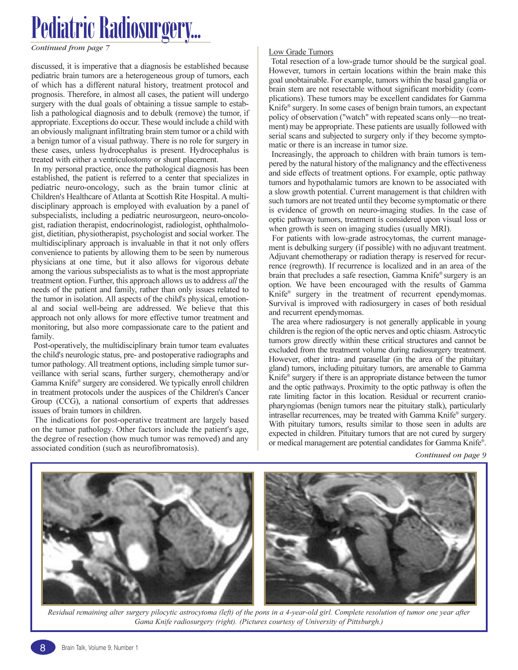discussed, it is imperative that a diagnosis be established because pediatric brain tumors are a heterogeneous group of tumors, each of which has a different natural history, treatment protocol and prognosis. Therefore, in almost all cases, the patient will undergo surgery with the dual goals of obtaining a tissue sample to establish a pathological diagnosis and to debulk (remove) the tumor, if appropriate. Exceptions do occur. These would include a child with an obviously malignant infiltrating brain stem tumor or a child with a benign tumor of a visual pathway. There is no role for surgery in these cases, unless hydrocephalus is present. Hydrocephalus is treated with either a ventriculostomy or shunt placement.

In my personal practice, once the pathological diagnosis has been established, the patient is referred to a center that specializes in pediatric neuro-oncology, such as the brain tumor clinic at Children's Healthcare of Atlanta at Scottish Rite Hospital. A multidisciplinary approach is employed with evaluation by a panel of subspecialists, including a pediatric neurosurgeon, neuro-oncologist, radiation therapist, endocrinologist, radiologist, ophthalmologist, dietitian, physiotherapist, psychologist and social worker. The multidisciplinary approach is invaluable in that it not only offers convenience to patients by allowing them to be seen by numerous physicians at one time, but it also allows for vigorous debate among the various subspecialists as to what is the most appropriate treatment option. Further, this approach allows us to address all the needs of the patient and family, rather than only issues related to the tumor in isolation. All aspects of the child's physical, emotional and social well-being are addressed. We believe that this approach not only allows for more effective tumor treatment and monitoring, but also more compassionate care to the patient and family.

Post-operatively, the multidisciplinary brain tumor team evaluates the child's neurologic status, pre- and postoperative radiographs and tumor pathology. All treatment options, including simple tumor surveillance with serial scans, further surgery, chemotherapy and/or Gamma Knife® surgery are considered. We typically enroll children in treatment protocols under the auspices of the Children's Cancer Group (CCG), a national consortium of experts that addresses issues of brain tumors in children.

The indications for post-operative treatment are largely based on the tumor pathology. Other factors include the patient's age, the degree of resection (how much tumor was removed) and any associated condition (such as neurofibromatosis).

### **Low Grade Tumors**

Total resection of a low-grade tumor should be the surgical goal. However, tumors in certain locations within the brain make this goal unobtainable. For example, tumors within the basal ganglia or brain stem are not resectable without significant morbidity (complications). These tumors may be excellent candidates for Gamma Knife® surgery. In some cases of benign brain tumors, an expectant policy of observation ("watch" with repeated scans only—no treatment) may be appropriate. These patients are usually followed with serial scans and subjected to surgery only if they become symptomatic or there is an increase in tumor size.

Increasingly, the approach to children with brain tumors is tempered by the natural history of the malignancy and the effectiveness and side effects of treatment options. For example, optic pathway tumors and hypothalamic tumors are known to be associated with a slow growth potential. Current management is that children with such tumors are not treated until they become symptomatic or there is evidence of growth on neuro-imaging studies. In the case of optic pathway tumors, treatment is considered upon visual loss or when growth is seen on imaging studies (usually MRI).

For patients with low-grade astrocytomas, the current management is debulking surgery (if possible) with no adjuvant treatment. Adjuvant chemotherapy or radiation therapy is reserved for recurrence (regrowth). If recurrence is localized and in an area of the brain that precludes a safe resection, Gamma Knife® surgery is an option. We have been encouraged with the results of Gamma Knife® surgery in the treatment of recurrent ependymomas. Survival is improved with radiosurgery in cases of both residual and recurrent ependymomas.

The area where radiosurgery is not generally applicable in young children is the region of the optic nerves and optic chiasm. Astrocytic tumors grow directly within these critical structures and cannot be excluded from the treatment volume during radiosurgery treatment. However, other intra- and parasellar (in the area of the pituitary gland) tumors, including pituitary tumors, are amenable to Gamma Knife® surgery if there is an appropriate distance between the tumor and the optic pathways. Proximity to the optic pathway is often the rate limiting factor in this location. Residual or recurrent craniopharyngiomas (benign tumors near the pituitary stalk), particularly intrasellar recurrences, may be treated with Gamma Knife® surgery. With pituitary tumors, results similar to those seen in adults are expected in children. Pituitary tumors that are not cured by surgery or medical management are potential candidates for Gamma Knife® .



Residual remaining alter surgery pilocytic astrocytoma (left) of the pons in a 4-year-old girl. Complete resolution of tumor one year after Gama Knife radiosurgery (right). (Pictures courtesy of University of Pittsburgh.)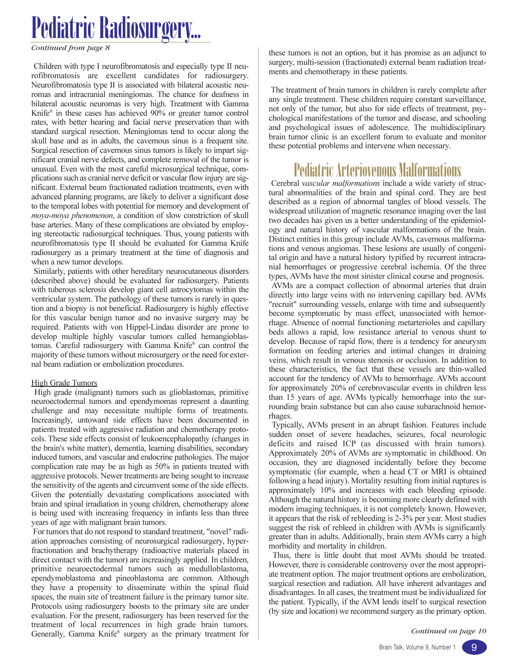*Continued from page 8*

Children with type I neurofibromatosis and especially type II neurofibromatosis are excellent candidates for radiosurgery. Neurofibromatosis type II is associated with bilateral acoustic neuromas and intracranial meningiomas. The chance for deafness in bilateral acoustic neuromas is very high. Treatment with Gamma Knife® in these cases has achieved 90% or greater tumor control rates, with better hearing and facial nerve preservation than with standard surgical resection. Meningiomas tend to occur along the skull base and as in adults, the cavernous sinus is a frequent site. Surgical resection of cavernous sinus tumors is likely to impart significant cranial nerve defects, and complete removal of the tumor is unusual. Even with the most careful microsurgical technique, complications such as cranial nerve deficit or vascular flow injury are significant. External beam fractionated radiation treatments, even with advanced planning programs, are likely to deliver a significant dose to the temporal lobes with potential for memory and development of moya-moya phenomenon, a condition of slow constriction of skull base arteries. Many of these complications are obviated by employing stereotactic radiosurgical techniques. Thus, young patients with neurofibromatosis type II should be evaluated for Gamma Knife radiosurgery as a primary treatment at the time of diagnosis and when a new tumor develops.

Similarly, patients with other hereditary neurocutaneous disorders (described above) should be evaluated for radiosurgery. Patients with tuberous sclerosis develop giant cell astrocytomas within the ventricular system. The pathology of these tumors is rarely in question and a biopsy is not beneficial. Radiosurgery is highly effective for this vascular benign tumor and no invasive surgery may be required. Patients with von Hippel-Lindau disorder are prone to develop multiple highly vascular tumors called hemangioblastomas. Careful radiosurgery with Gamma Knife® can control the majority of these tumors without microsurgery or the need for external beam radiation or embolization procedures.

#### **High Grade Tumors**

High grade (malignant) tumors such as glioblastomas, primitive neuroectodermal tumors and ependymomas represent a daunting challenge and may necessitate multiple forms of treatments. Increasingly, untoward side effects have been documented in patients treated with aggressive radiation and chemotherapy protocols. These side effects consist of leukoencephalopathy (changes in the brain's white matter), dementia, learning disabilities, secondary induced tumors, and vascular and endocrine pathologies. The major complication rate may be as high as 50% in patients treated with aggressive protocols. Newer treatments are being sought to increase the sensitivity of the agents and circumvent some of the side effects. Given the potentially devastating complications associated with brain and spinal irradiation in young children, chemotherapy alone is being used with increasing frequency in infants less than three years of age with malignant brain tumors.

For tumors that do not respond to standard treatment, "novel" radiation approaches consisting of neurosurgical radiosurgery, hyperfractionation and brachytherapy (radioactive materials placed in direct contact with the tumor) are increasingly applied. In children, primitive neuroectodermal tumors such as medulloblastoma, ependymoblastoma and pineoblastoma are common. Although they have a propensity to disseminate within the spinal fluid spaces, the main site of treatment failure is the primary tumor site. Protocols using radiosurgery boosts to the primary site are under evaluation. For the present, radiosurgery has been reserved for the treatment of local recurrences in high grade brain tumors. Generally, Gamma Knife® surgery as the primary treatment for these tumors is not an option, but it has promise as an adjunct to surgery, multi-session (fractionated) external beam radiation treatments and chemotherapy in these patients.

The treatment of brain tumors in children is rarely complete after any single treatment. These children require constant surveillance, not only of the tumor, but also for side effects of treatment, psychological manifestations of the tumor and disease, and schooling and psychological issues of adolescence. The multidisciplinary brain tumor clinic is an excellent forum to evaluate and monitor these potential problems and intervene when necessary.

### Pediatric Arteriovenous Malformations

Cerebral vascular malformations include a wide variety of structural abnormalities of the brain and spinal cord. They are best described as a region of abnormal tangles of blood vessels. The widespread utilization of magnetic resonance imaging over the last two decades has given us a better understanding of the epidemiology and natural history of vascular malformations of the brain. Distinct entities in this group include AVMs, cavernous malformations and venous angiomas. These lesions are usually of congenital origin and have a natural history typified by recurrent intracranial hemorrhages or progressive cerebral ischemia. Of the three types, AVMs have the most sinister clinical course and prognosis. AVMs are a compact collection of abnormal arteries that drain directly into large veins with no intervening capillary bed. AVMs "recruit" surrounding vessels, enlarge with time and subsequently become symptomatic by mass effect, unassociated with hemorrhage. Absence of normal functioning metarterioles and capillary beds allows a rapid, low resistance arterial to venous shunt to develop. Because of rapid flow, there is a tendency for aneurysm formation on feeding arteries and intimal changes in draining veins, which result in venous stenosis or occlusion. In addition to these characteristics, the fact that these vessels are thin-walled account for the tendency of AVMs to hemorrhage. AVMs account for approximately 20% of cerebrovascular events in children less than 15 years of age. AVMs typically hemorrhage into the surrounding brain substance but can also cause subarachnoid hemorrhages.

Typically, AVMs present in an abrupt fashion. Features include sudden onset of severe headaches, seizures, focal neurologic deficits and raised ICP (as discussed with brain tumors). Approximately 20% of AVMs are symptomatic in childhood. On occasion, they are diagnosed incidentally before they become symptomatic (for example, when a head CT or MRI is obtained following a head injury). Mortality resulting from initial ruptures is approximately 10% and increases with each bleeding episode. Although the natural history is becoming more clearly defined with modern imaging techniques, it is not completely known. However, it appears that the risk of rebleeding is 2-3% per year. Most studies suggest the risk of rebleed in children with AVMs is significantly greater than in adults. Additionally, brain stem AVMs carry a high morbidity and mortality in children.

Thus, there is little doubt that most AVMs should be treated. However, there is considerable controversy over the most appropriate treatment option. The major treatment options are embolization, surgical resection and radiation. All have inherent advantages and disadvantages. In all cases, the treatment must be individualized for the patient. Typically, if the AVM lends itself to surgical resection (by size and location) we recommend surgery as the primary option.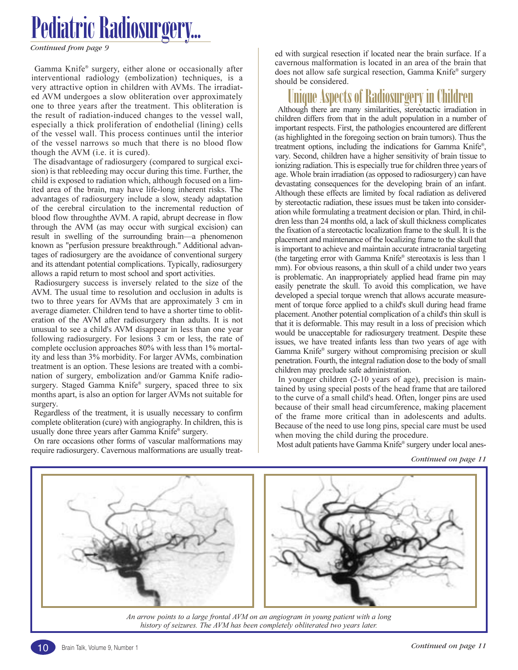*Continued from page 9*

Gamma Knife® surgery, either alone or occasionally after interventional radiology (embolization) techniques, is a very attractive option in children with AVMs. The irradiated AVM undergoes a slow obliteration over approximately one to three years after the treatment. This obliteration is the result of radiation-induced changes to the vessel wall, especially a thick proliferation of endothelial (lining) cells of the vessel wall. This process continues until the interior of the vessel narrows so much that there is no blood flow though the AVM (i.e. it is cured).

The disadvantage of radiosurgery (compared to surgical excision) is that rebleeding may occur during this time. Further, the child is exposed to radiation which, although focused on a limited area of the brain, may have life-long inherent risks. The advantages of radiosurgery include a slow, steady adaptation of the cerebral circulation to the incremental reduction of blood flow throughthe AVM. A rapid, abrupt decrease in flow through the AVM (as may occur with surgical excision) can result in swelling of the surrounding brain—a phenomenon known as "perfusion pressure breakthrough." Additional advantages of radiosurgery are the avoidance of conventional surgery and its attendant potential complications. Typically, radiosurgery allows a rapid return to most school and sport activities.

Radiosurgery success is inversely related to the size of the AVM. The usual time to resolution and occlusion in adults is two to three years for AVMs that are approximately 3 cm in average diameter. Children tend to have a shorter time to obliteration of the AVM after radiosurgery than adults. It is not unusual to see a child's AVM disappear in less than one year following radiosurgery. For lesions 3 cm or less, the rate of complete occlusion approaches 80% with less than 1% mortality and less than 3% morbidity. For larger AVMs, combination treatment is an option. These lesions are treated with a combination of surgery, embolization and/or Gamma Knife radiosurgery. Staged Gamma Knife® surgery, spaced three to six months apart, is also an option for larger AVMs not suitable for surgery.

Regardless of the treatment, it is usually necessary to confirm complete obliteration (cure) with angiography. In children, this is usually done three years after Gamma Knife® surgery.

On rare occasions other forms of vascular malformations may require radiosurgery. Cavernous malformations are usually treated with surgical resection if located near the brain surface. If a cavernous malformation is located in an area of the brain that does not allow safe surgical resection, Gamma Knife® surgery should be considered.

### Unique Aspects of Radiosurgery in

Although there are many similarities, stereotactic irradiation in children differs from that in the adult population in a number of important respects. First, the pathologies encountered are different (as highlighted in the foregoing section on brain tumors). Thus the treatment options, including the indications for Gamma Knife® , vary. Second, children have a higher sensitivity of brain tissue to ionizing radiation. This is especially true for children three years of age. Whole brain irradiation (as opposed to radiosurgery) can have devastating consequences for the developing brain of an infant. Although these effects are limited by focal radiation as delivered by stereotactic radiation, these issues must be taken into consideration while formulating a treatment decision or plan. Third, in children less than 24 months old, a lack of skull thickness complicates the fixation of a stereotactic localization frame to the skull. It is the placement and maintenance of the localizing frame to the skull that is important to achieve and maintain accurate intracranial targeting (the targeting error with Gamma Knife® stereotaxis is less than 1 mm). For obvious reasons, a thin skull of a child under two years is problematic. An inappropriately applied head frame pin may easily penetrate the skull. To avoid this complication, we have developed a special torque wrench that allows accurate measurement of torque force applied to a child's skull during head frame placement. Another potential complication of a child's thin skull is that it is deformable. This may result in a loss of precision which would be unacceptable for radiosurgery treatment. Despite these issues, we have treated infants less than two years of age with Gamma Knife® surgery without compromising precision or skull penetration. Fourth, the integral radiation dose to the body of small children may preclude safe administration.

In younger children (2-10 years of age), precision is maintained by using special posts of the head frame that are tailored to the curve of a small child's head. Often, longer pins are used because of their small head circumference, making placement of the frame more critical than in adolescents and adults. Because of the need to use long pins, special care must be used when moving the child during the procedure.

Most adult patients have Gamma Knife® surgery under local anes-



An arrow points to a large frontal AVM on an angiogram in young patient with a long history of seizures. The AVM has been completely obliterated two years later.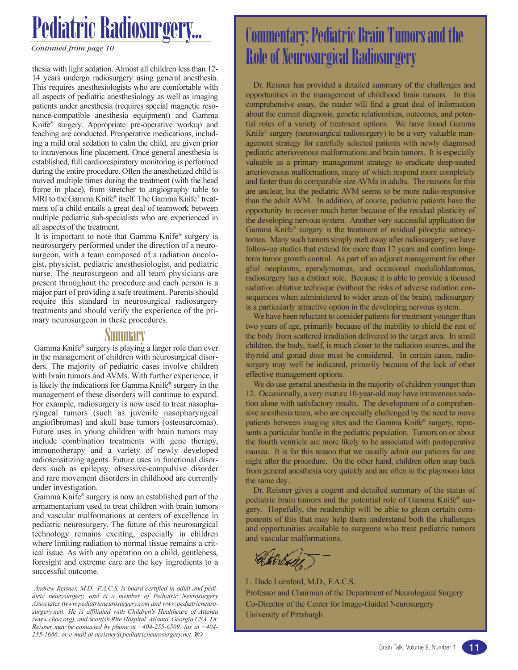*Continued from page 10*

thesia with light sedation. Almost all children less than 12- 14 years undergo radiosurgery using general anesthesia. This requires anesthesiologists who are comfortable with all aspects of pediatric anesthesiology as well as imaging patients under anesthesia (requires special magnetic resonance-compatible anesthesia equipment) and Gamma Knife® surgery. Appropriate pre-operative workup and teaching are conducted. Preoperative medications, including a mild oral sedation to calm the child, are given prior to intravenous line placement. Once general anesthesia is established, full cardiorespiratory monitoring is performed during the entire procedure. Often the anesthetized child is moved multiple times during the treatment (with the head frame in place), from stretcher to angiography table to MRI to the Gamma Knife® itself. The Gamma Knife® treatment of a child entails a great deal of teamwork between multiple pediatric sub-specialists who are experienced in all aspects of the treatment.

It is important to note that Gamma Knife® surgery is neurosurgery performed under the direction of a neurosurgeon, with a team composed of a radiation oncologist, physicist, pediatric anesthesiologist, and pediatric nurse. The neurosurgeon and all team physicians are present throughout the procedure and each person is a major part of providing a safe treatment. Parents should require this standard in neurosurgical radiosurgery treatments and should verify the experience of the primary neurosurgeon in these procedures.

### **Summary**

Gamma Knife® surgery is playing a larger role than ever in the management of children with neurosurgical disorders. The majority of pediatric cases involve children with brain tumors and AVMs. With further experience, it is likely the indications for Gamma Knife® surgery in the management of these disorders will continue to expand. For example, radiosurgery is now used to treat nasopharyngeal tumors (such as juvenile nasopharyngeal angiofibromas) and skull base tumors (osteosarcomas). Future uses in young children with brain tumors may include combination treatments with gene therapy, immunotherapy and a variety of newly developed radiosensitizing agents. Future uses in functional disorders such as epilepsy, obsessive-compulsive disorder and rare movement disorders in childhood are currently under investigation.

Gamma Knife® surgery is now an established part of the armamentarium used to treat children with brain tumors and vascular malformations at centers of excellence in pediatric neurosurgery. The future of this neurosurgical technology remains exciting, especially in children where limiting radiation to normal tissue remains a critical issue. As with any operation on a child, gentleness, foresight and extreme care are the key ingredients to a successful outcome.

Andrew Reisner, M.D., F.A.C.S. is board certified in adult and pediatric neurosurgery, and is a member of Pediatric Neurosurgery Associates (www.pediatricneurosurgery.com and www.pediatricneurosurgery.net). He is affiliated with Children's Healthcare of Atlanta (www.choa.org), and Scottish Rite Hospital. Atlanta, Georgia USA. Dr. Reisner may be contacted by phone at  $+404-255-6509$ ; fax at  $+404-$ 255-1686; or e-mail at areisner@pediatricneurosurgery.net  $\infty$ 

### Commentary: Pediatric Brain Tumors and the Role of Neurosurgical Radiosurgery

Dr. Reisner has provided a detailed summary of the challenges and opportunities in the management of childhood brain tumors. In this comprehensive essay, the reader will find a great deal of information about the current diagnosis, genetic relationships, outcomes, and potential roles of a variety of treatment options. We have found Gamma Knife® surgery (neurosurgical radiosurgery) to be a very valuable management strategy for carefully selected patients with newly diagnosed pediatric arteriovenous malformations and brain tumors. It is especially valuable as a primary management strategy to eradicate deep-seated arteriovenous malformations, many of which respond more completely and faster than do comparable size AVMs in adults. The reasons for this are unclear, but the pediatric AVM seems to be more radio-responsive than the adult AVM. In addition, of course, pediatric patients have the opportunity to recover much better because of the residual plasticity of the developing nervous system. Another very successful application for Gamma Knife® surgery is the treatment of residual pilocytic astrocytomas. Many such tumors simply melt away after radiosurgery; we have follow-up studies that extend for more than 17 years and confirm longterm tumor growth control. As part of an adjunct management for other glial neoplasms, ependymomas, and occasional medulloblastomas, radiosurgery has a distinct role. Because it is able to provide a focused radiation ablative technique (without the risks of adverse radiation consequences when administered to wider areas of the brain), radiosurgery is a particularly attractive option in the developing nervous system.

We have been reluctant to consider patients for treatment younger than two years of age, primarily because of the inability to shield the rest of the body from scattered irradiation delivered to the target area. In small children, the body, itself, is much closer to the radiation sources, and the thyroid and gonad dose must be considered. In certain cases, radiosurgery may well be indicated, primarily because of the lack of other effective management options.

We do use general anesthesia in the majority of children younger than 12. Occasionally, a very mature 10-year-old may have intravenous sedation alone with satisfactory results. The development of a comprehensive anesthesia team, who are especially challenged by the need to move patients between imaging sites and the Gamma Knife® surgery, represents a particular hurdle in the pediatric population. Tumors on or about the fourth ventricle are more likely to be associated with postoperative nausea. It is for this reason that we usually admit our patients for one night after the procedure. On the other hand, children often snap back from general anesthesia very quickly and are often in the playroom later the same day.

Dr. Reisner gives a cogent and detailed summary of the status of pediatric brain tumors and the potential role of Gamma Knife® surgery. Hopefully, the readership will be able to glean certain components of this that may help them understand both the challenges and opportunities available to surgeons who treat pediatric tumors and vascular malformations.

Kilobuhr

L. Dade Lunsford, M.D., F.A.C.S. Professor and Chairman of the Department of Neurological Surgery Co-Director of the Center for Image-Guided Neurosurgery University of Pittsburgh